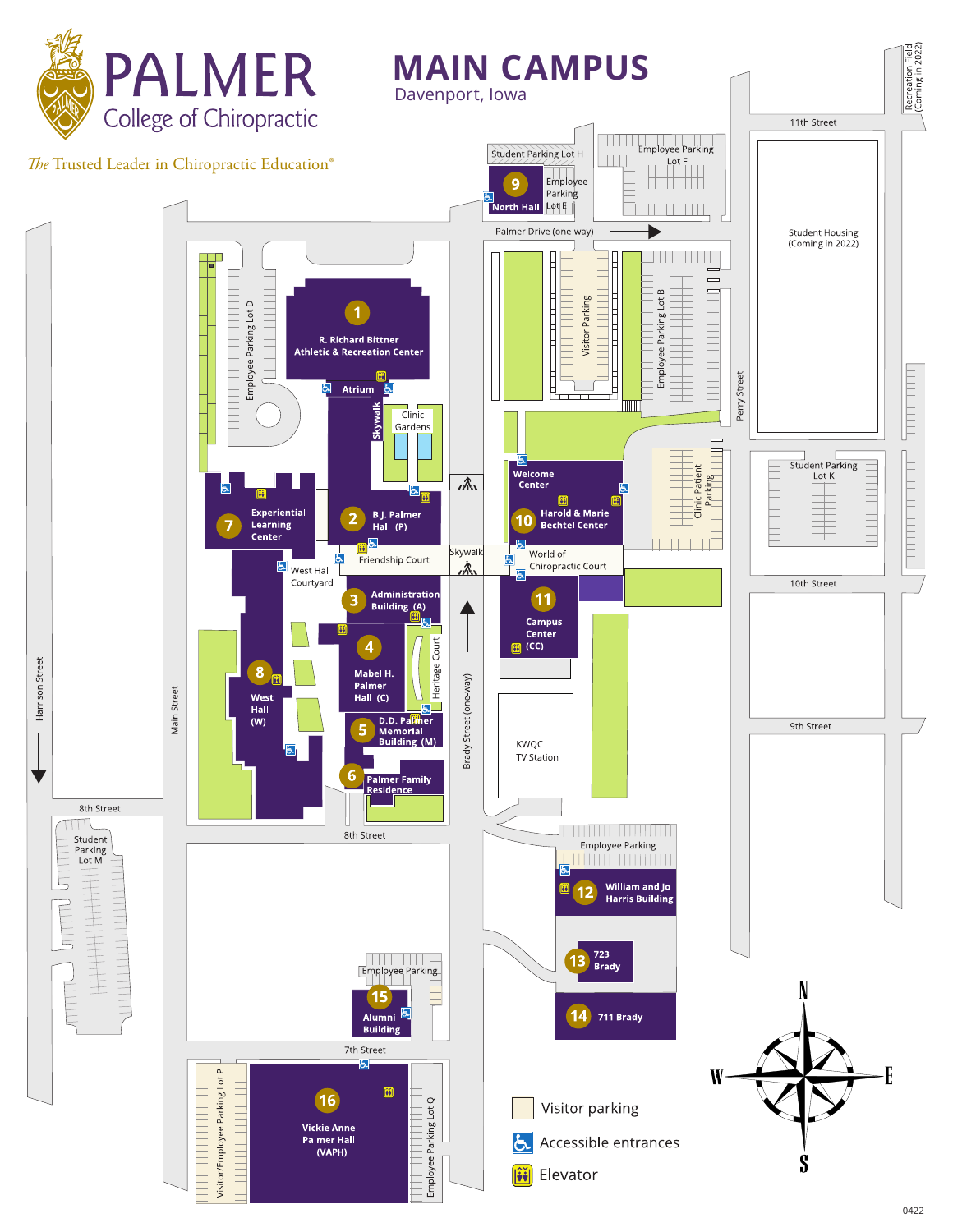